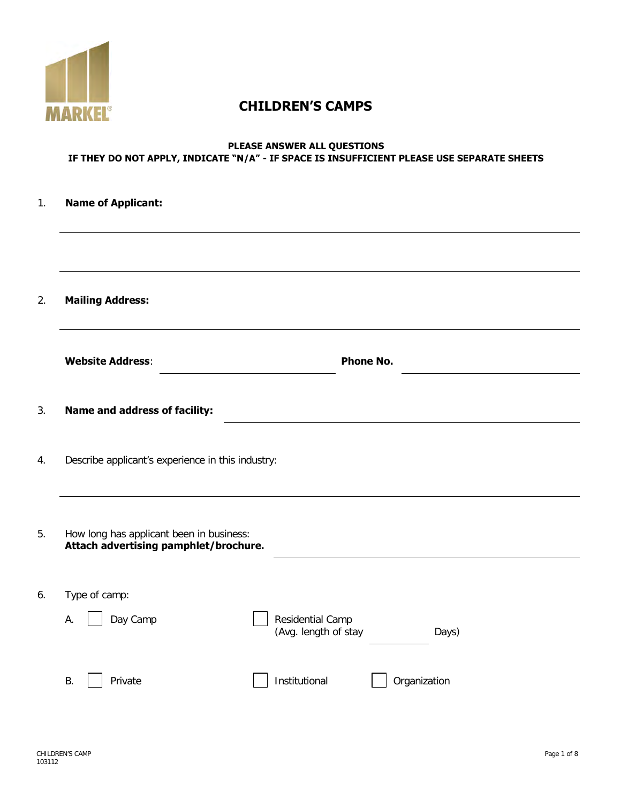

# **CHILDREN'S CAMPS**

# **PLEASE ANSWER ALL QUESTIONS IF THEY DO NOT APPLY, INDICATE "N/A" - IF SPACE IS INSUFFICIENT PLEASE USE SEPARATE SHEETS**

| 1. | <b>Name of Applicant:</b>                                                         |                                                   |
|----|-----------------------------------------------------------------------------------|---------------------------------------------------|
|    |                                                                                   |                                                   |
| 2. | <b>Mailing Address:</b>                                                           |                                                   |
|    | <b>Website Address:</b>                                                           | <b>Phone No.</b>                                  |
| 3. | <b>Name and address of facility:</b>                                              |                                                   |
| 4. | Describe applicant's experience in this industry:                                 |                                                   |
| 5. | How long has applicant been in business:<br>Attach advertising pamphlet/brochure. |                                                   |
| 6. | Type of camp:<br>Day Camp<br>А.                                                   | Residential Camp<br>(Avg. length of stay<br>Days) |
|    | <b>B.</b><br>Private                                                              | Institutional<br>Organization                     |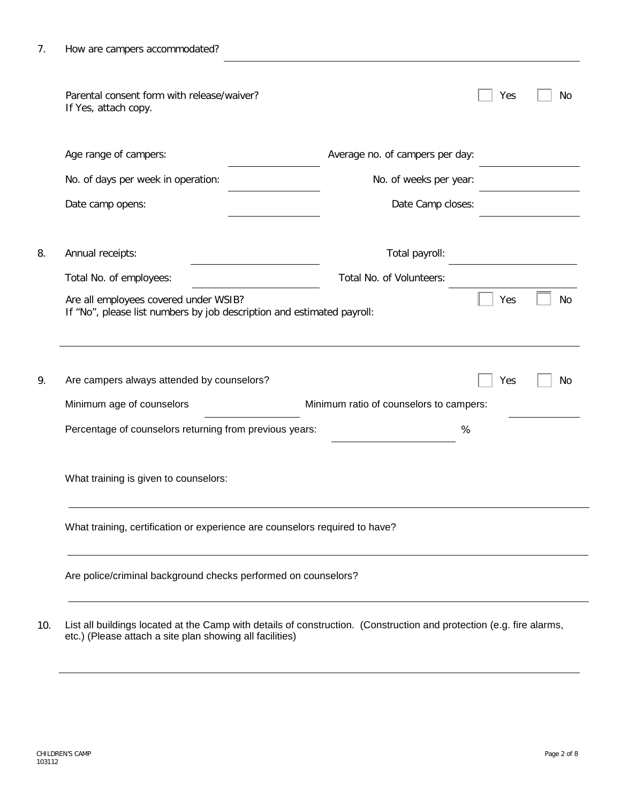| Parental consent form with release/waiver?<br>If Yes, attach copy.                                                                                            | Yes<br>No                               |
|---------------------------------------------------------------------------------------------------------------------------------------------------------------|-----------------------------------------|
| Age range of campers:                                                                                                                                         | Average no. of campers per day:         |
| No. of days per week in operation:                                                                                                                            | No. of weeks per year:                  |
| Date camp opens:                                                                                                                                              | Date Camp closes:                       |
| Annual receipts:                                                                                                                                              | Total payroll:                          |
| Total No. of employees:                                                                                                                                       | Total No. of Volunteers:                |
|                                                                                                                                                               | Yes                                     |
| Are all employees covered under WSIB?<br>If "No", please list numbers by job description and estimated payroll:<br>Are campers always attended by counselors? | Yes                                     |
| Minimum age of counselors                                                                                                                                     | Minimum ratio of counselors to campers: |
| Percentage of counselors returning from previous years:                                                                                                       | No<br>No<br>$\%$                        |
| What training is given to counselors:                                                                                                                         |                                         |
| What training, certification or experience are counselors required to have?                                                                                   |                                         |

10. List all buildings located at the Camp with details of construction. (Construction and protection (e.g. fire alarms, etc.) (Please attach a site plan showing all facilities)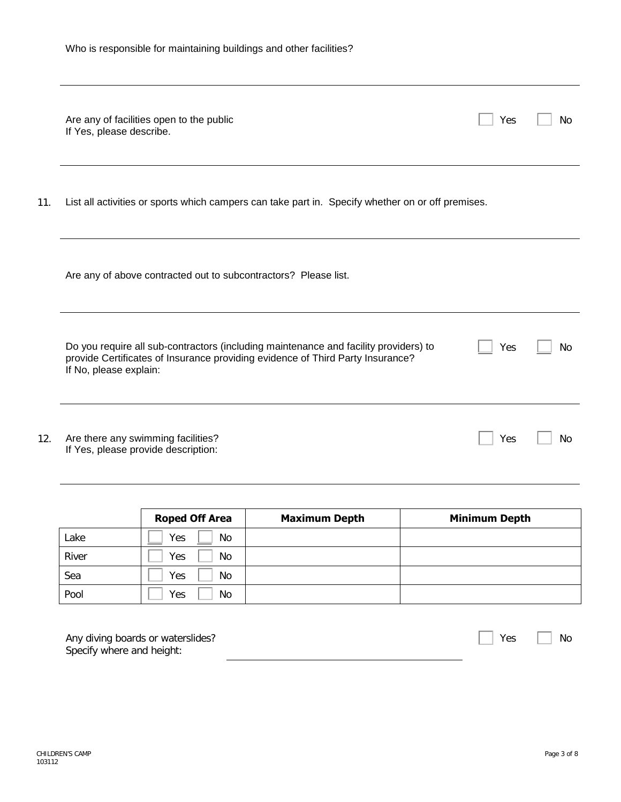|  | Who is responsible for maintaining buildings and other facilities? |  |
|--|--------------------------------------------------------------------|--|
|  |                                                                    |  |

|     | Are any of facilities open to the public<br>If Yes, please describe.                                                                                                                             | Yes | No |
|-----|--------------------------------------------------------------------------------------------------------------------------------------------------------------------------------------------------|-----|----|
| 11. | List all activities or sports which campers can take part in. Specify whether on or off premises.                                                                                                |     |    |
|     | Are any of above contracted out to subcontractors? Please list.                                                                                                                                  |     |    |
|     | Do you require all sub-contractors (including maintenance and facility providers) to<br>provide Certificates of Insurance providing evidence of Third Party Insurance?<br>If No, please explain: | Yes | No |
| 12. | Are there any swimming facilities?<br>If Yes, please provide description:                                                                                                                        | Yes | No |

|       | <b>Roped Off Area</b> | <b>Maximum Depth</b> | <b>Minimum Depth</b> |
|-------|-----------------------|----------------------|----------------------|
| Lake  | Yes<br>No.            |                      |                      |
| River | Yes<br>No.            |                      |                      |
| Sea   | Yes<br>No.            |                      |                      |
| Pool  | Yes<br>No.            |                      |                      |

| Any diving boards or waterslides? | $\vert$   Yes $\Box$ | $\vert \vert$ No |  |
|-----------------------------------|----------------------|------------------|--|
| Specify where and height:         |                      |                  |  |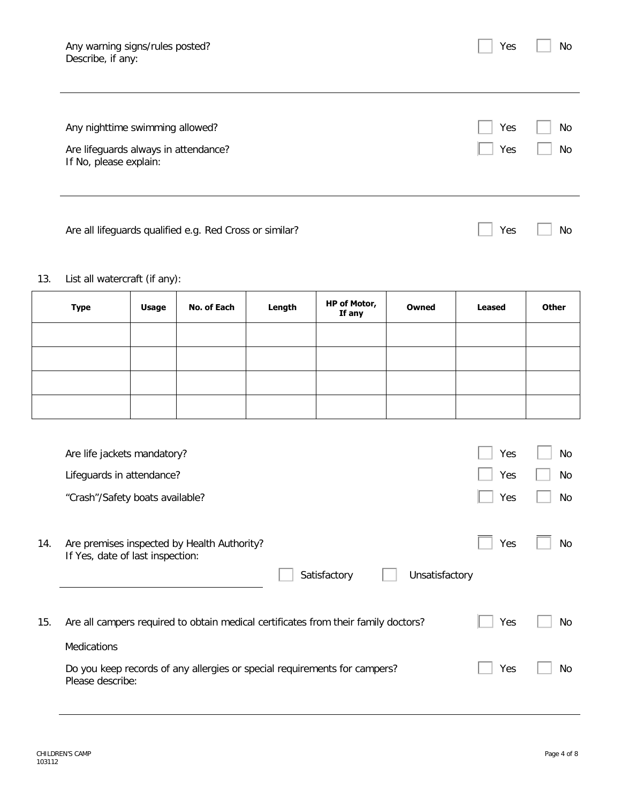| Any warning signs/rules posted?<br>Describe, if any:                                              | Yes        | No       |
|---------------------------------------------------------------------------------------------------|------------|----------|
| Any nighttime swimming allowed?<br>Are lifeguards always in attendance?<br>If No, please explain: | Yes<br>Yes | No<br>No |
| Are all lifeguards qualified e.g. Red Cross or similar?                                           | Yes        | No       |

# 13. List all watercraft (if any):

| <b>Type</b> | <b>Usage</b> | No. of Each | Length | HP of Motor,<br>If any | Owned | <b>Leased</b> | <b>Other</b> |
|-------------|--------------|-------------|--------|------------------------|-------|---------------|--------------|
|             |              |             |        |                        |       |               |              |
|             |              |             |        |                        |       |               |              |
|             |              |             |        |                        |       |               |              |
|             |              |             |        |                        |       |               |              |

|     | Are life jackets mandatory?                                                                                       | Yes | No  |
|-----|-------------------------------------------------------------------------------------------------------------------|-----|-----|
|     | Lifeguards in attendance?                                                                                         | Yes | No  |
|     | "Crash"/Safety boats available?                                                                                   | Yes | No  |
| 14. | Are premises inspected by Health Authority?<br>If Yes, date of last inspection:<br>Satisfactory<br>Unsatisfactory | Yes | No  |
| 15. | Are all campers required to obtain medical certificates from their family doctors?                                | Yes | No  |
|     | Medications                                                                                                       |     |     |
|     | Do you keep records of any allergies or special requirements for campers?<br>Please describe:                     | Yes | No. |
|     |                                                                                                                   |     |     |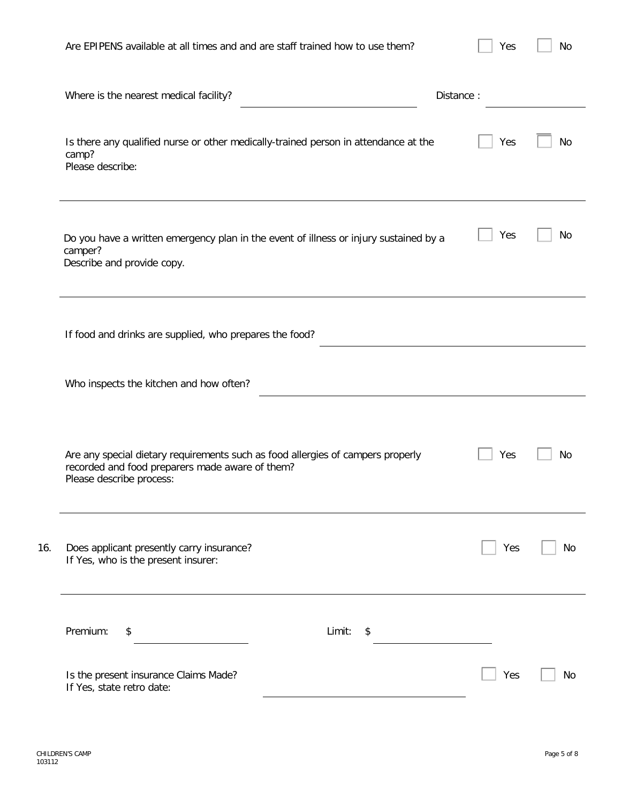| Are EPIPENS available at all times and and are staff trained how to use them?                                                                                  | Yes       | No |
|----------------------------------------------------------------------------------------------------------------------------------------------------------------|-----------|----|
| Where is the nearest medical facility?                                                                                                                         | Distance: |    |
| Is there any qualified nurse or other medically-trained person in attendance at the<br>camp?<br>Please describe:                                               | Yes       | No |
| Do you have a written emergency plan in the event of illness or injury sustained by a<br>camper?<br>Describe and provide copy.                                 | Yes       | No |
| If food and drinks are supplied, who prepares the food?                                                                                                        |           |    |
| Who inspects the kitchen and how often?                                                                                                                        |           |    |
| Are any special dietary requirements such as food allergies of campers properly<br>recorded and food preparers made aware of them?<br>Please describe process: | Yes       | No |
| Does applicant presently carry insurance?<br>16.<br>If Yes, who is the present insurer:                                                                        | Yes       | No |
| Premium:<br>Limit:<br>\$<br>\$                                                                                                                                 |           |    |
| Is the present insurance Claims Made?<br>If Yes, state retro date:                                                                                             | Yes       | No |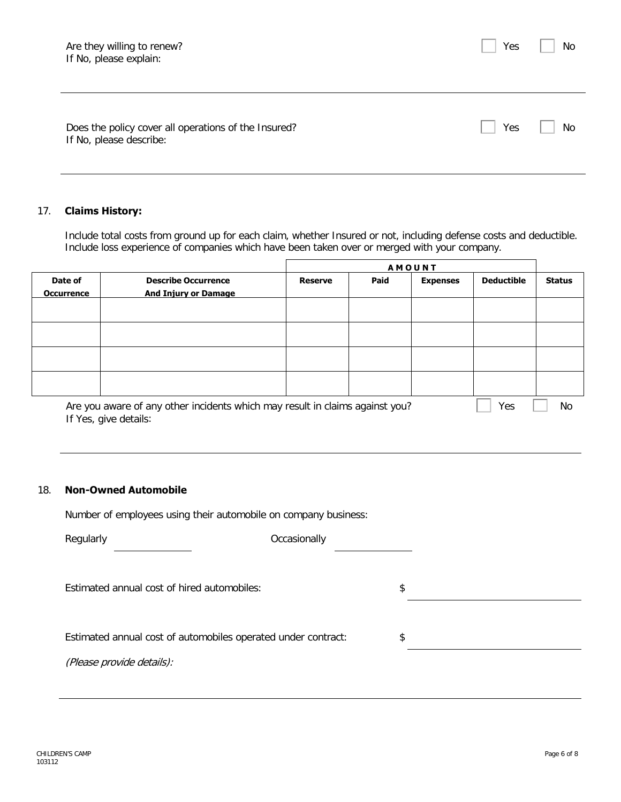Yes | No

Does the policy cover all operations of the Insured? If No, please describe:

## 17. **Claims History:**

Include total costs from ground up for each claim, whether Insured or not, including defense costs and deductible. Include loss experience of companies which have been taken over or merged with your company.

|                              |                                                                              | <b>AMOUNT</b>  |      |                 |                   |               |
|------------------------------|------------------------------------------------------------------------------|----------------|------|-----------------|-------------------|---------------|
| Date of<br><b>Occurrence</b> | <b>Describe Occurrence</b><br><b>And Injury or Damage</b>                    | <b>Reserve</b> | Paid | <b>Expenses</b> | <b>Deductible</b> | <b>Status</b> |
|                              |                                                                              |                |      |                 |                   |               |
|                              |                                                                              |                |      |                 |                   |               |
|                              |                                                                              |                |      |                 |                   |               |
|                              |                                                                              |                |      |                 |                   |               |
|                              | Are you aware of any other incidents which may result in claims against you? |                |      |                 | Yes               | No            |

If Yes, give details:

#### 18. **Non-Owned Automobile**

Number of employees using their automobile on company business:

| Regularly                                                     | Occasionally |    |
|---------------------------------------------------------------|--------------|----|
| Estimated annual cost of hired automobiles:                   |              | \$ |
| Estimated annual cost of automobiles operated under contract: |              | \$ |
| (Please provide details):                                     |              |    |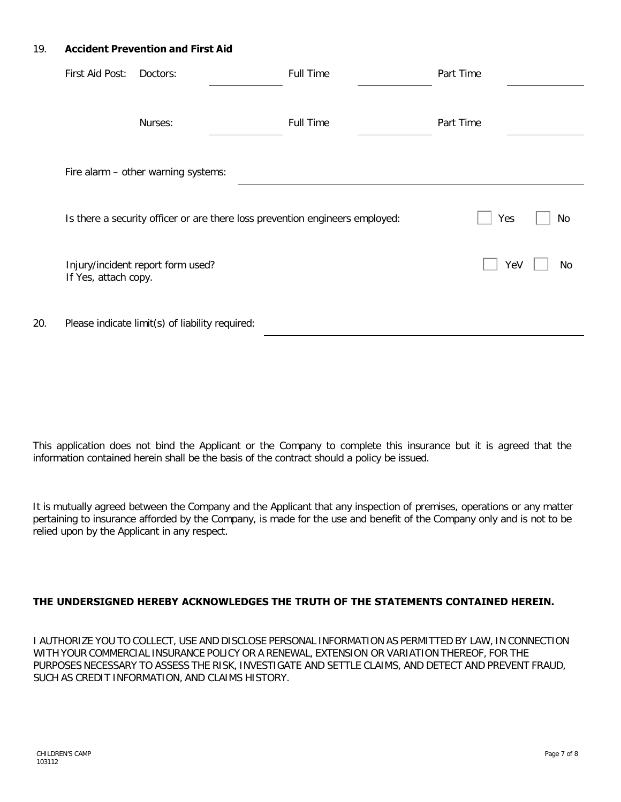### 19. **Accident Prevention and First Aid**

|     | First Aid Post:                                                              | Doctors:                                        | <b>Full Time</b> |  | Part Time |    |
|-----|------------------------------------------------------------------------------|-------------------------------------------------|------------------|--|-----------|----|
|     |                                                                              | Nurses:                                         | <b>Full Time</b> |  | Part Time |    |
|     | Fire alarm - other warning systems:                                          |                                                 |                  |  |           |    |
|     | Is there a security officer or are there loss prevention engineers employed: |                                                 |                  |  | Yes       | No |
|     | If Yes, attach copy.                                                         | Injury/incident report form used?               |                  |  | Yeg       | No |
| 20. |                                                                              | Please indicate limit(s) of liability required: |                  |  |           |    |

This application does not bind the Applicant or the Company to complete this insurance but it is agreed that the information contained herein shall be the basis of the contract should a policy be issued.

It is mutually agreed between the Company and the Applicant that any inspection of premises, operations or any matter pertaining to insurance afforded by the Company, is made for the use and benefit of the Company only and is not to be relied upon by the Applicant in any respect.

## **THE UNDERSIGNED HEREBY ACKNOWLEDGES THE TRUTH OF THE STATEMENTS CONTAINED HEREIN.**

I AUTHORIZE YOU TO COLLECT, USE AND DISCLOSE PERSONAL INFORMATION AS PERMITTED BY LAW, IN CONNECTION WITH YOUR COMMERCIAL INSURANCE POLICY OR A RENEWAL, EXTENSION OR VARIATION THEREOF, FOR THE PURPOSES NECESSARY TO ASSESS THE RISK, INVESTIGATE AND SETTLE CLAIMS, AND DETECT AND PREVENT FRAUD, SUCH AS CREDIT INFORMATION, AND CLAIMS HISTORY.